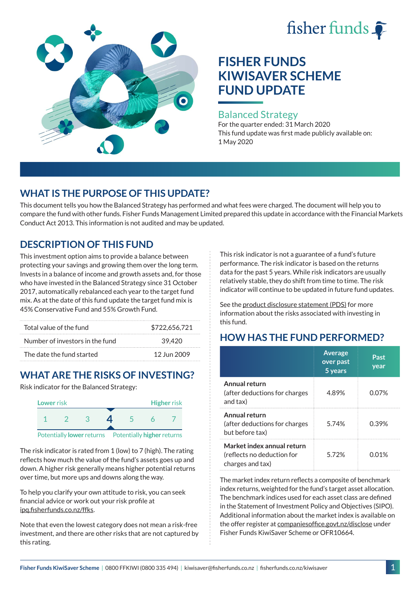# fisher funds



## **FISHER FUNDS KIWISAVER SCHEME FUND UPDATE**

#### Balanced Strategy

For the quarter ended: 31 March 2020 This fund update was first made publicly available on: 1 May 2020

## **WHAT IS THE PURPOSE OF THIS UPDATE?**

This document tells you how the Balanced Strategy has performed and what fees were charged. The document will help you to compare the fund with other funds. Fisher Funds Management Limited prepared this update in accordance with the Financial Markets Conduct Act 2013. This information is not audited and may be updated.

## **DESCRIPTION OF THIS FUND**

This investment option aims to provide a balance between protecting your savings and growing them over the long term. Invests in a balance of income and growth assets and, for those who have invested in the Balanced Strategy since 31 October 2017, automatically rebalanced each year to the target fund mix. As at the date of this fund update the target fund mix is 45% Conservative Fund and 55% Growth Fund.

| Total value of the fund         | \$722,656,721 |  |
|---------------------------------|---------------|--|
| Number of investors in the fund | 39.420        |  |
| The date the fund started       | 12 Jun 2009   |  |

## **WHAT ARE THE RISKS OF INVESTING?**

Risk indicator for the Balanced Strategy:



The risk indicator is rated from 1 (low) to 7 (high). The rating reflects how much the value of the fund's assets goes up and down. A higher risk generally means higher potential returns over time, but more ups and downs along the way.

To help you clarify your own attitude to risk, you can seek financial advice or work out your risk profile at [ipq.fisherfunds.co.nz/ffks](https://ipq.fisherfunds.co.nz/ffks).

Note that even the lowest category does not mean a risk-free investment, and there are other risks that are not captured by this rating.

This risk indicator is not a guarantee of a fund's future performance. The risk indicator is based on the returns data for the past 5 years. While risk indicators are usually relatively stable, they do shift from time to time. The risk indicator will continue to be updated in future fund updates.

See the [product disclosure statement \(PDS\)](https://fisherfunds.co.nz/assets/PDS/Fisher-Funds-KiwiSaver-Scheme-PDS.pdf) for more information about the risks associated with investing in this fund.

## **HOW HAS THE FUND PERFORMED?**

|                                                                              | <b>Average</b><br>over past<br>5 years | Past<br>year |
|------------------------------------------------------------------------------|----------------------------------------|--------------|
| Annual return<br>(after deductions for charges<br>and tax)                   | 4.89%                                  | 0.07%        |
| Annual return<br>(after deductions for charges<br>but before tax)            | 5.74%                                  | 0.39%        |
| Market index annual return<br>(reflects no deduction for<br>charges and tax) | 572%                                   | 0.01%        |

The market index return reflects a composite of benchmark index returns, weighted for the fund's target asset allocation. The benchmark indices used for each asset class are defined in the Statement of Investment Policy and Objectives (SIPO). Additional information about the market index is available on the offer register at [companiesoffice.govt.nz/disclose](http://companiesoffice.govt.nz/disclose) under Fisher Funds KiwiSaver Scheme or OFR10664.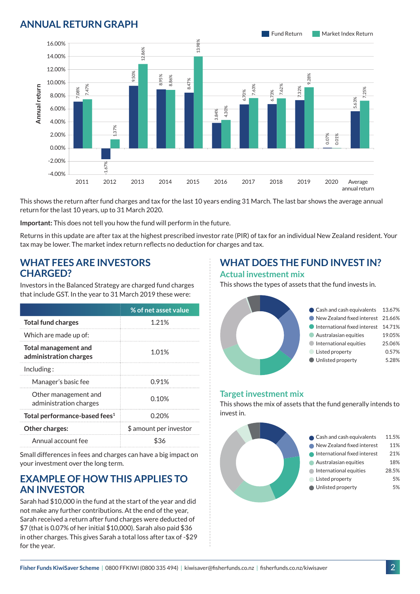## **ANNUAL RETURN GRAPH**



This shows the return after fund charges and tax for the last 10 years ending 31 March. The last bar shows the average annual return for the last 10 years, up to 31 March 2020.

**Important:** This does not tell you how the fund will perform in the future.

Returns in this update are after tax at the highest prescribed investor rate (PIR) of tax for an individual New Zealand resident. Your tax may be lower. The market index return reflects no deduction for charges and tax.

#### **WHAT FEES ARE INVESTORS CHARGED?**

Investors in the Balanced Strategy are charged fund charges that include GST. In the year to 31 March 2019 these were:

|                                                | % of net asset value   |  |
|------------------------------------------------|------------------------|--|
| <b>Total fund charges</b>                      | 1 21%                  |  |
| Which are made up of:                          |                        |  |
| Total management and<br>administration charges | 1.01%                  |  |
| Inding:                                        |                        |  |
| Manager's basic fee                            | 0.91%                  |  |
| Other management and<br>administration charges | 0.10%                  |  |
| Total performance-based fees <sup>1</sup>      | 0.20%                  |  |
| <b>Other charges:</b>                          | \$ amount per investor |  |
| Annual account fee                             |                        |  |

Small differences in fees and charges can have a big impact on your investment over the long term.

#### **EXAMPLE OF HOW THIS APPLIES TO AN INVESTOR**

Sarah had \$10,000 in the fund at the start of the year and did not make any further contributions. At the end of the year, Sarah received a return after fund charges were deducted of \$7 (that is 0.07% of her initial \$10,000). Sarah also paid \$36 in other charges. This gives Sarah a total loss after tax of -\$29 for the year.

#### **WHAT DOES THE FUND INVEST IN? Actual investment mix**

This shows the types of assets that the fund invests in.



#### **Target investment mix**

This shows the mix of assets that the fund generally intends to invest in.